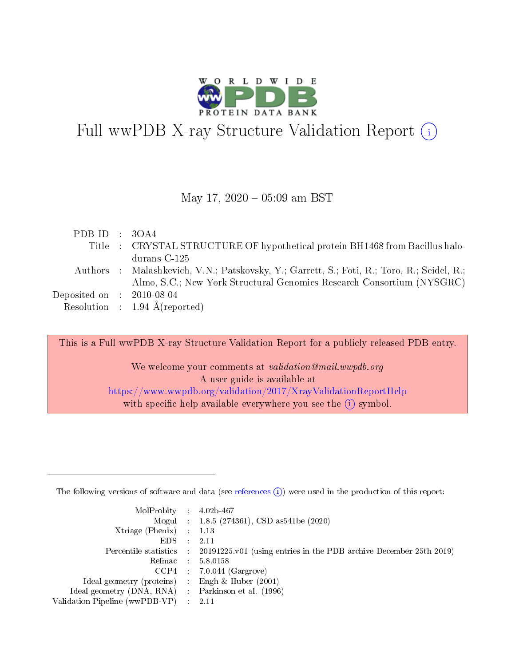

# Full wwPDB X-ray Structure Validation Report (i)

#### May 17,  $2020 - 05:09$  am BST

| PDB ID : $3OA4$             |                                                                                            |
|-----------------------------|--------------------------------------------------------------------------------------------|
|                             | Title : CRYSTAL STRUCTURE OF hypothetical protein BH1468 from Bacillus halo-               |
|                             | durans C-125                                                                               |
|                             | Authors : Malashkevich, V.N.; Patskovsky, Y.; Garrett, S.; Foti, R.; Toro, R.; Seidel, R.; |
|                             | Almo, S.C.; New York Structural Genomics Research Consortium (NYSGRC)                      |
| Deposited on : $2010-08-04$ |                                                                                            |
|                             | Resolution : $1.94 \text{ Å}$ (reported)                                                   |

This is a Full wwPDB X-ray Structure Validation Report for a publicly released PDB entry.

We welcome your comments at validation@mail.wwpdb.org A user guide is available at <https://www.wwpdb.org/validation/2017/XrayValidationReportHelp> with specific help available everywhere you see the  $(i)$  symbol.

The following versions of software and data (see [references](https://www.wwpdb.org/validation/2017/XrayValidationReportHelp#references)  $(1)$ ) were used in the production of this report:

| $MolProbability$ : 4.02b-467                        |                                                                                            |
|-----------------------------------------------------|--------------------------------------------------------------------------------------------|
|                                                     | Mogul : 1.8.5 (274361), CSD as 541be (2020)                                                |
| Xtriage (Phenix) $: 1.13$                           |                                                                                            |
| EDS :                                               | -2.11                                                                                      |
|                                                     | Percentile statistics : 20191225.v01 (using entries in the PDB archive December 25th 2019) |
| Refmac 58.0158                                      |                                                                                            |
|                                                     | $CCP4$ 7.0.044 (Gargrove)                                                                  |
| Ideal geometry (proteins) : Engh $\&$ Huber (2001)  |                                                                                            |
| Ideal geometry (DNA, RNA) : Parkinson et al. (1996) |                                                                                            |
| Validation Pipeline (wwPDB-VP) : 2.11               |                                                                                            |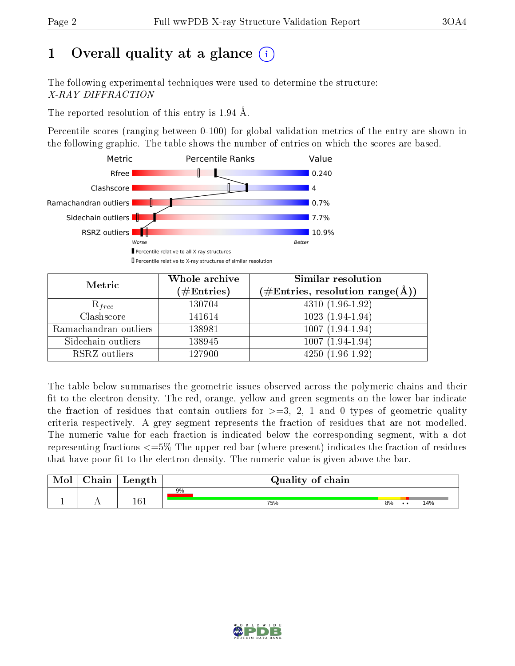# 1 [O](https://www.wwpdb.org/validation/2017/XrayValidationReportHelp#overall_quality)verall quality at a glance  $(i)$

The following experimental techniques were used to determine the structure: X-RAY DIFFRACTION

The reported resolution of this entry is 1.94 Å.

Percentile scores (ranging between 0-100) for global validation metrics of the entry are shown in the following graphic. The table shows the number of entries on which the scores are based.



| Metric                | Whole archive        | <b>Similar resolution</b>                                              |
|-----------------------|----------------------|------------------------------------------------------------------------|
|                       | $(\#\text{Entries})$ | $(\#\text{Entries},\,\text{resolution}\,\,\text{range}(\textup{\AA}))$ |
| $R_{free}$            | 130704               | $4310(1.96-1.92)$                                                      |
| Clashscore            | 141614               | $1023(1.94-1.94)$                                                      |
| Ramachandran outliers | 138981               | $1007(1.94-1.94)$                                                      |
| Sidechain outliers    | 138945               | $1007(1.94-1.94)$                                                      |
| RSRZ outliers         | 127900               | $4250(1.96-1.92)$                                                      |

The table below summarises the geometric issues observed across the polymeric chains and their fit to the electron density. The red, orange, yellow and green segments on the lower bar indicate the fraction of residues that contain outliers for  $>=3, 2, 1$  and 0 types of geometric quality criteria respectively. A grey segment represents the fraction of residues that are not modelled. The numeric value for each fraction is indicated below the corresponding segment, with a dot representing fractions  $\epsilon=5\%$  The upper red bar (where present) indicates the fraction of residues that have poor fit to the electron density. The numeric value is given above the bar.

|           | $\alpha$ hain | Length | Quality of chain |    |     |     |
|-----------|---------------|--------|------------------|----|-----|-----|
| <u>д.</u> | . .           | 161    | 9%<br>75%        | 8% | . . | 14% |

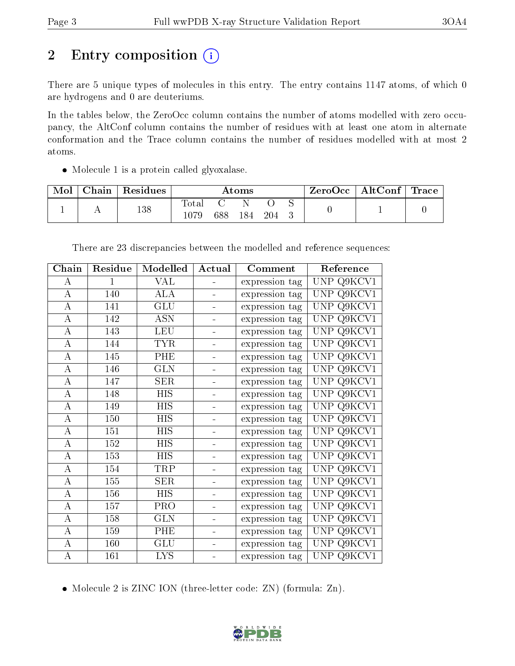# 2 Entry composition (i)

There are 5 unique types of molecules in this entry. The entry contains 1147 atoms, of which 0 are hydrogens and 0 are deuteriums.

In the tables below, the ZeroOcc column contains the number of atoms modelled with zero occupancy, the AltConf column contains the number of residues with at least one atom in alternate conformation and the Trace column contains the number of residues modelled with at most 2 atoms.

• Molecule 1 is a protein called glyoxalase.

| Mol | Chain   Residues | Atoms             |     |     | $ZeroOcc \mid AltConf \mid Trace \mid$ |  |  |  |
|-----|------------------|-------------------|-----|-----|----------------------------------------|--|--|--|
|     | 138              | Total<br>$1079\,$ | 688 | 184 | 204                                    |  |  |  |

| Chain              | Residue      | Modelled   | Actual         | Comment        | Reference                         |
|--------------------|--------------|------------|----------------|----------------|-----------------------------------|
| А                  | $\mathbf{1}$ | <b>VAL</b> |                | expression tag | <b>UNP</b><br>Q9KCV1              |
| А                  | 140          | <b>ALA</b> |                | expression tag | Q9KCV1<br><b>UNP</b>              |
| $\boldsymbol{A}$   | 141          | GLU        |                | expression tag | Q9KCV1<br><b>UNP</b>              |
| A                  | 142          | <b>ASN</b> | ÷              | expression tag | <b>UNP</b><br>Q9KCV1              |
| $\overline{\rm A}$ | 143          | <b>LEU</b> | $\frac{1}{2}$  | expression tag | $Q9K\overline{CVI}$<br><b>UNP</b> |
| $\boldsymbol{A}$   | 144          | <b>TYR</b> | $\blacksquare$ | expression tag | <b>UNP</b><br>Q9KCV1              |
| $\boldsymbol{A}$   | 145          | PHE        |                | expression tag | <b>UNP</b><br>Q9KCV1              |
| $\overline{A}$     | 146          | <b>GLN</b> | $\blacksquare$ | expression tag | <b>UNP</b><br>Q9KCV1              |
| А                  | 147          | <b>SER</b> | ÷,             | expression tag | Q9KCV1<br><b>UNP</b>              |
| $\boldsymbol{A}$   | 148          | <b>HIS</b> | ÷,             | expression tag | <b>UNP</b><br>$Q9K\overline{CVI}$ |
| А                  | 149          | HIS        |                | expression tag | Q9KCV1<br><b>UNP</b>              |
| $\bf{A}$           | 150          | <b>HIS</b> |                | expression tag | <b>UNP</b><br>Q9KCV1              |
| $\bf{A}$           | 151          | <b>HIS</b> |                | expression tag | <b>UNP</b><br>Q9KCV1              |
| $\boldsymbol{A}$   | 152          | <b>HIS</b> | $\blacksquare$ | expression tag | Q9KCV1<br><b>UNP</b>              |
| $\overline{\rm A}$ | 153          | <b>HIS</b> | $\blacksquare$ | expression tag | <b>UNP</b><br>Q9KCV1              |
| $\boldsymbol{A}$   | 154          | TRP        | $\frac{1}{2}$  | expression tag | <b>UNP</b><br>Q9KCV1              |
| $\overline{\rm A}$ | 155          | SER        | ÷              | expression tag | <b>UNP</b><br>Q9KCV1              |
| A                  | 156          | HIS        | ÷.             | expression tag | Q9KCV1<br><b>UNP</b>              |
| $\boldsymbol{A}$   | 157          | PRO        | ÷              | expression tag | <b>UNP</b><br>Q9KCV1              |
| А                  | 158          | <b>GLN</b> |                | expression tag | <b>UNP</b><br>Q9KCV1              |
| $\bf{A}$           | 159          | PHE        |                | expression tag | <b>UNP</b><br>Q9KCV1              |
| $\boldsymbol{A}$   | 160          | <b>GLU</b> | $\blacksquare$ | expression tag | <b>UNP</b><br>Q9KCV1              |
| $\boldsymbol{A}$   | 161          | <b>LYS</b> | ÷              | expression tag | UNP<br>Q9KCV1                     |

There are 23 discrepancies between the modelled and reference sequences:

• Molecule 2 is ZINC ION (three-letter code: ZN) (formula: Zn).

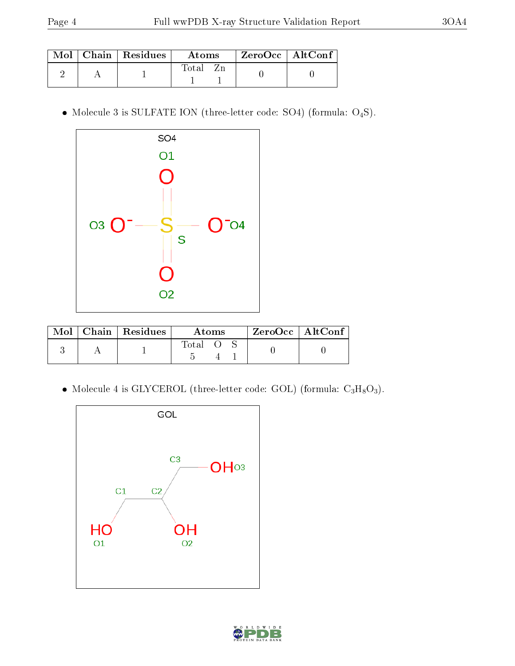|  | Mol   Chain   Residues | Atoms | $\mid$ ZeroOcc $\mid$ AltConf $\mid$ |  |
|--|------------------------|-------|--------------------------------------|--|
|  |                        | Fotal |                                      |  |

 $\bullet$  Molecule 3 is SULFATE ION (three-letter code: SO4) (formula:  $\mathrm{O}_4\mathrm{S}$ ).



| $\bf{Mol}$ $\parallel$ | Chain Residues | Atoms  | $ZeroOcc$   AltConf |  |
|------------------------|----------------|--------|---------------------|--|
|                        |                | -lotal |                     |  |

 $\bullet$  Molecule 4 is GLYCEROL (three-letter code: GOL) (formula:  $\rm{C_3H_8O_3}).$ 



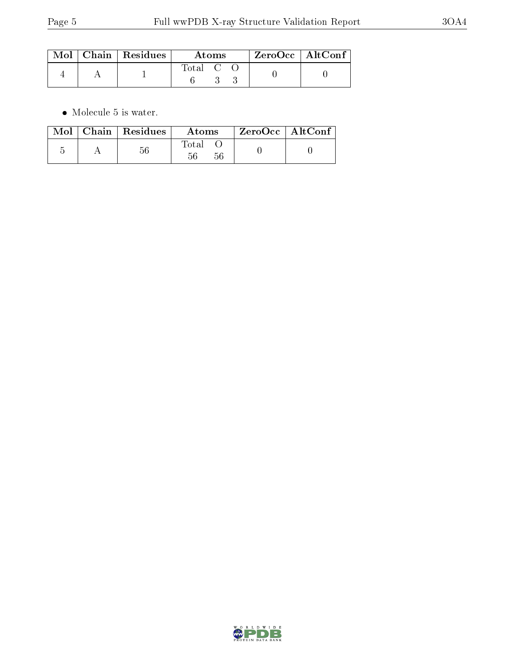|  | $\text{Mol}$   Chain   Residues | Atoms   |  |  | $ZeroOcc \mid AltConf \mid$ |
|--|---------------------------------|---------|--|--|-----------------------------|
|  |                                 | Total C |  |  |                             |

 $\bullet\,$  Molecule 5 is water.

|  | $Mol$   Chain   Residues | <b>Atoms</b> | $ZeroOcc \   \ AltConf \$ |  |
|--|--------------------------|--------------|---------------------------|--|
|  | $56\,$                   | Total        |                           |  |

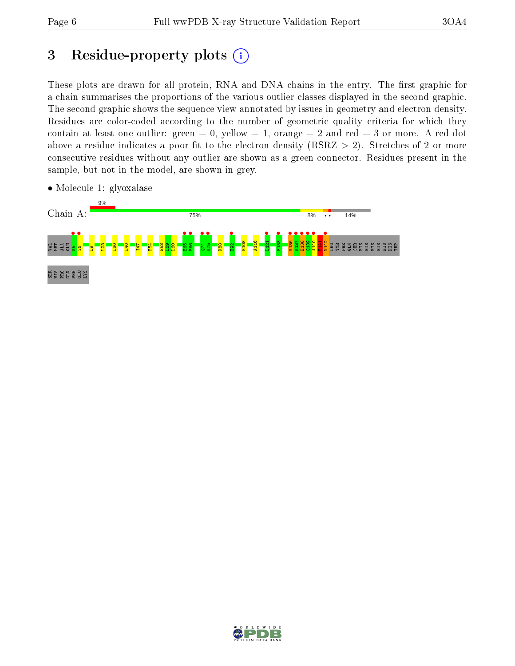## 3 Residue-property plots  $(i)$

These plots are drawn for all protein, RNA and DNA chains in the entry. The first graphic for a chain summarises the proportions of the various outlier classes displayed in the second graphic. The second graphic shows the sequence view annotated by issues in geometry and electron density. Residues are color-coded according to the number of geometric quality criteria for which they contain at least one outlier: green  $= 0$ , yellow  $= 1$ , orange  $= 2$  and red  $= 3$  or more. A red dot above a residue indicates a poor fit to the electron density (RSRZ  $> 2$ ). Stretches of 2 or more consecutive residues without any outlier are shown as a green connector. Residues present in the sample, but not in the model, are shown in grey.



• Molecule 1: glyoxalase

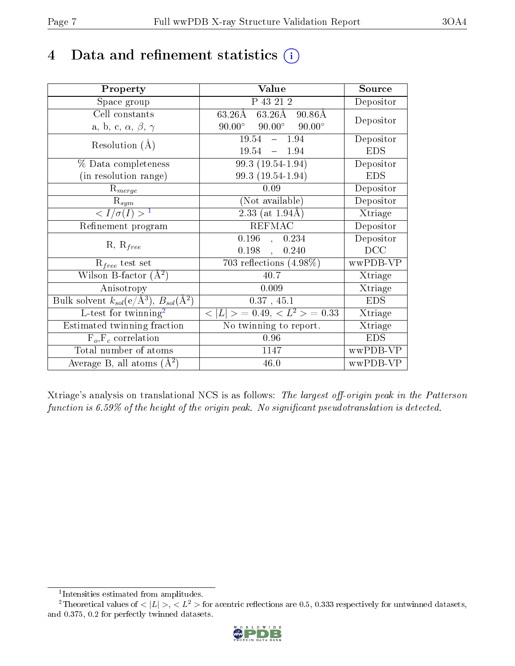## 4 Data and refinement statistics  $(i)$

| Property                                                                | Value                                                       | Source     |
|-------------------------------------------------------------------------|-------------------------------------------------------------|------------|
| Space group                                                             | P 43 21 2                                                   | Depositor  |
| Cell constants                                                          | $63.26\text{\AA}$<br>$63.26\text{\AA}$<br>$90.86\text{\AA}$ | Depositor  |
| a, b, c, $\alpha$ , $\beta$ , $\gamma$                                  | $90.00^\circ$<br>$90.00^\circ$<br>$90.00^{\circ}$           |            |
| Resolution $(A)$                                                        | 19.54<br>$-1.94$                                            | Depositor  |
|                                                                         | 19.54<br>$-1.94$                                            | <b>EDS</b> |
| % Data completeness                                                     | 99.3 (19.54-1.94)                                           | Depositor  |
| (in resolution range)                                                   | 99.3 (19.54-1.94)                                           | <b>EDS</b> |
| $R_{merge}$                                                             | 0.09                                                        | Depositor  |
| $\mathrm{R}_{sym}$                                                      | (Not available)                                             | Depositor  |
| $\langle I/\sigma(I) \rangle^{-1}$                                      | $2.33$ (at 1.94Å)                                           | Xtriage    |
| Refinement program                                                      | <b>REFMAC</b>                                               | Depositor  |
| $R, R_{free}$                                                           | $0.196$ , $0.234$                                           | Depositor  |
|                                                                         | 0.198,<br>0.240                                             | DCC        |
| $\mathcal{R}_{free}$ test set                                           | $\overline{703}$ reflections $(4.98\%)$                     | wwPDB-VP   |
| Wilson B-factor $(A^2)$                                                 | 40.7                                                        | Xtriage    |
| Anisotropy                                                              | 0.009                                                       | Xtriage    |
| Bulk solvent $k_{sol}(\mathrm{e}/\mathrm{A}^3),\,B_{sol}(\mathrm{A}^2)$ | 0.37, 45.1                                                  | <b>EDS</b> |
| L-test for twinning <sup>2</sup>                                        | $< L >$ = 0.49, $< L2$ = 0.33                               | Xtriage    |
| Estimated twinning fraction                                             | No twinning to report.                                      | Xtriage    |
| $F_o, F_c$ correlation                                                  | 0.96                                                        | <b>EDS</b> |
| Total number of atoms                                                   | 1147                                                        | wwPDB-VP   |
| Average B, all atoms $(A^2)$                                            | 46.0                                                        | wwPDB-VP   |

Xtriage's analysis on translational NCS is as follows: The largest off-origin peak in the Patterson function is  $6.59\%$  of the height of the origin peak. No significant pseudotranslation is detected.

<sup>&</sup>lt;sup>2</sup>Theoretical values of  $\langle |L| \rangle$ ,  $\langle L^2 \rangle$  for acentric reflections are 0.5, 0.333 respectively for untwinned datasets, and 0.375, 0.2 for perfectly twinned datasets.



<span id="page-6-1"></span><span id="page-6-0"></span><sup>1</sup> Intensities estimated from amplitudes.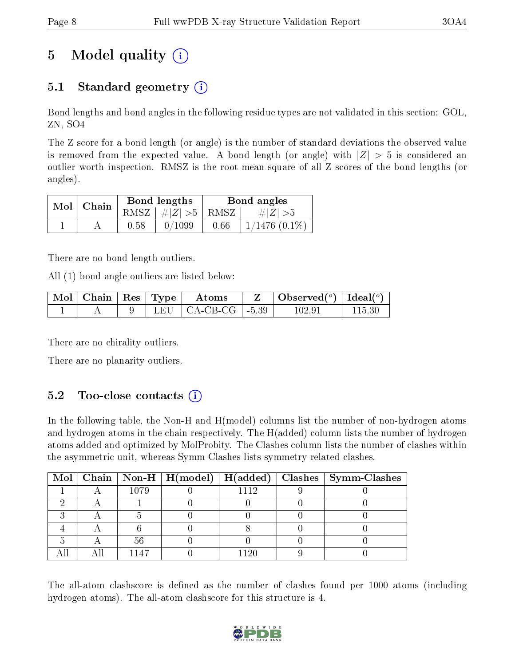# 5 Model quality  $(i)$

## 5.1 Standard geometry  $\overline{()}$

Bond lengths and bond angles in the following residue types are not validated in this section: GOL, ZN, SO4

The Z score for a bond length (or angle) is the number of standard deviations the observed value is removed from the expected value. A bond length (or angle) with  $|Z| > 5$  is considered an outlier worth inspection. RMSZ is the root-mean-square of all Z scores of the bond lengths (or angles).

| $Mol$   Chain |      | Bond lengths                            | Bond angles |                    |  |
|---------------|------|-----------------------------------------|-------------|--------------------|--|
|               |      | RMSZ $\mid \#  Z  > 5 \mid$ RMSZ $\mid$ |             | $\# Z  > 5$        |  |
|               | 0.58 | 0/1099                                  | 0.66        | $1/1476$ $(0.1\%)$ |  |

There are no bond length outliers.

All (1) bond angle outliers are listed below:

| ' Mol   Chain | $\vert$ Res   Type | Atoms                          | Observed( $^{\circ}$ )   Ideal( $^{\circ}$ ) |  |
|---------------|--------------------|--------------------------------|----------------------------------------------|--|
|               | L HIL              | $\vert$ CA-CB-CG $\vert$ -5.39 | $102.9^{\circ}$                              |  |

There are no chirality outliers.

There are no planarity outliers.

### $5.2$  Too-close contacts  $(i)$

In the following table, the Non-H and H(model) columns list the number of non-hydrogen atoms and hydrogen atoms in the chain respectively. The H(added) column lists the number of hydrogen atoms added and optimized by MolProbity. The Clashes column lists the number of clashes within the asymmetric unit, whereas Symm-Clashes lists symmetry related clashes.

|  |      |      | Mol   Chain   Non-H   H(model)   H(added)   Clashes   Symm-Clashes |
|--|------|------|--------------------------------------------------------------------|
|  | 1079 | 1119 |                                                                    |
|  |      |      |                                                                    |
|  |      |      |                                                                    |
|  |      |      |                                                                    |
|  | 56   |      |                                                                    |
|  | 1147 | 190  |                                                                    |

The all-atom clashscore is defined as the number of clashes found per 1000 atoms (including hydrogen atoms). The all-atom clashscore for this structure is 4.

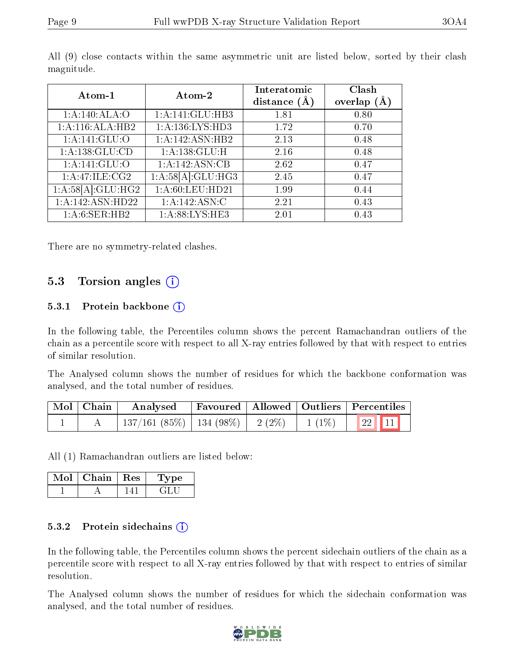| Atom-1             | Atom-2              | Interatomic<br>distance $(\AA)$ | Clash<br>overlap $(A)$ |
|--------------------|---------------------|---------------------------------|------------------------|
| 1: A:140:ALA:O     | 1:A:141:GLU:HB3     | 1.81                            | 0.80                   |
| 1:A:116:ALA:HB2    | 1: A: 136: LYS: HD3 | 1.72                            | 0.70                   |
| 1: A:141: GLU:O    | 1:A:142:ASN:HB2     | 2.13                            | 0.48                   |
| 1:A:138:GLU:CD     | 1: A: 138: GLU: H   | 2.16                            | 0.48                   |
| 1: A:141: GLU:O    | 1:A:142:ASN:CB      | 2.62                            | 0.47                   |
| 1: A:47: ILE: CG2  | 1:A:58[A]:GLU:HG3   | 2.45                            | 0.47                   |
| 1:A:58[A]:GLU:H G2 | 1:A:60:LEU:HD21     | 1.99                            | 0.44                   |
| 1:A:142:ASN:HD22   | 1:A:142:ASN:C       | 2.21                            | 0.43                   |
| 1: A:6: SER: HB2   | 1: A:88: LYS: HE3   | 2.01                            | 0.43                   |

All (9) close contacts within the same asymmetric unit are listed below, sorted by their clash magnitude.

There are no symmetry-related clashes.

#### 5.3 Torsion angles  $(i)$

#### 5.3.1 Protein backbone  $(i)$

In the following table, the Percentiles column shows the percent Ramachandran outliers of the chain as a percentile score with respect to all X-ray entries followed by that with respect to entries of similar resolution.

The Analysed column shows the number of residues for which the backbone conformation was analysed, and the total number of residues.

| $\mid$ Mol $\mid$ Chain $\mid$ | $\boldsymbol{\mathrm{Analysed}}$                             | Favoured   Allowed   Outliers   Percentiles |  |  |
|--------------------------------|--------------------------------------------------------------|---------------------------------------------|--|--|
|                                | $\mid$ 137/161 (85%)   134 (98%)   2 (2%)   1 (1%)   22   11 |                                             |  |  |

All (1) Ramachandran outliers are listed below:

| Mol | Chain   Res | Type |
|-----|-------------|------|
|     |             |      |

#### 5.3.2 Protein sidechains (i)

In the following table, the Percentiles column shows the percent sidechain outliers of the chain as a percentile score with respect to all X-ray entries followed by that with respect to entries of similar resolution.

The Analysed column shows the number of residues for which the sidechain conformation was analysed, and the total number of residues.

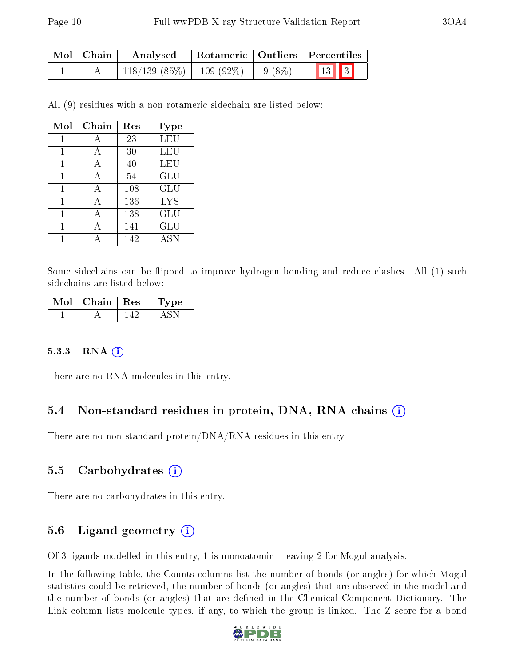| Mol   Chain | Analysed                                | Rotameric   Outliers   Percentiles |                          |  |  |
|-------------|-----------------------------------------|------------------------------------|--------------------------|--|--|
|             | $118/139$ (85\%)   109 (92\%)   9 (8\%) |                                    | $\boxed{13}$ $\boxed{3}$ |  |  |

All (9) residues with a non-rotameric sidechain are listed below:

| Mol | Chain | Res | Type       |
|-----|-------|-----|------------|
| 1   | А     | 23  | LEU        |
| 1   | А     | 30  | LEU        |
| 1   |       | 40  | LEU        |
| 1   | A     | 54  | GLU        |
| 1   | А     | 108 | GLU        |
| 1   | А     | 136 | <b>LYS</b> |
| 1   | A     | 138 | GLU        |
|     |       | 141 | GLU        |
|     |       | 142 | <b>ASN</b> |

Some sidechains can be flipped to improve hydrogen bonding and reduce clashes. All (1) such sidechains are listed below:

| Mol | Chain | $\cdot$ + $\rm Res$ + $\cdot$ | Type |
|-----|-------|-------------------------------|------|
|     |       |                               |      |

#### $5.3.3$  RNA  $(i)$

There are no RNA molecules in this entry.

#### 5.4 Non-standard residues in protein, DNA, RNA chains (i)

There are no non-standard protein/DNA/RNA residues in this entry.

#### 5.5 Carbohydrates  $(i)$

There are no carbohydrates in this entry.

#### 5.6 Ligand geometry  $(i)$

Of 3 ligands modelled in this entry, 1 is monoatomic - leaving 2 for Mogul analysis.

In the following table, the Counts columns list the number of bonds (or angles) for which Mogul statistics could be retrieved, the number of bonds (or angles) that are observed in the model and the number of bonds (or angles) that are defined in the Chemical Component Dictionary. The Link column lists molecule types, if any, to which the group is linked. The Z score for a bond

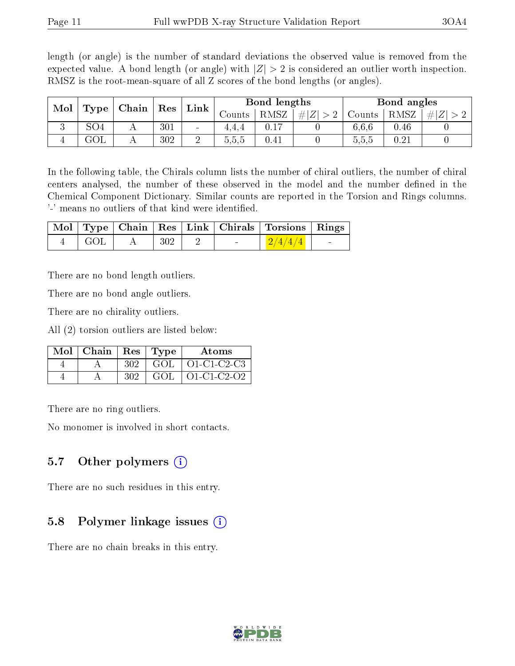length (or angle) is the number of standard deviations the observed value is removed from the expected value. A bond length (or angle) with  $|Z| > 2$  is considered an outlier worth inspection. RMSZ is the root-mean-square of all Z scores of the bond lengths (or angles).

| Mol |                 | Chain |     | Link                     |        | Bond lengths |                   |        | Bond angles |                     |
|-----|-----------------|-------|-----|--------------------------|--------|--------------|-------------------|--------|-------------|---------------------|
|     | Type            |       | Res |                          | ∪ounts | <b>RMSZ</b>  | $\# Z^{\dagger} $ | Counts | RMSZ        | #<br>$\overline{L}$ |
| - 1 | SO <sub>4</sub> |       | 301 | $\overline{\phantom{a}}$ | 4,4,4  |              |                   | 6.6.6  | 0.46        |                     |
|     | ュワレ             |       | 302 | ച<br>↩                   | 5.5.5  | 0.41         |                   | 5.5.5  | 0.21        |                     |

In the following table, the Chirals column lists the number of chiral outliers, the number of chiral centers analysed, the number of these observed in the model and the number defined in the Chemical Component Dictionary. Similar counts are reported in the Torsion and Rings columns. '-' means no outliers of that kind were identified.

|         |     |  | Mol   Type   Chain   Res   Link   Chirals   Torsions   Rings |                          |
|---------|-----|--|--------------------------------------------------------------|--------------------------|
| - GOL - | 302 |  | 2/4/4/4                                                      | <b>Contract Contract</b> |

There are no bond length outliers.

There are no bond angle outliers.

There are no chirality outliers.

All (2) torsion outliers are listed below:

| $Mol$   Chain   Res   Type |     |     | Atoms              |
|----------------------------|-----|-----|--------------------|
|                            | 302 | GOL | O1-C1-C2-C3        |
|                            | 302 | GOL | $\mid$ 01-C1-C2-O2 |

There are no ring outliers.

No monomer is involved in short contacts.

### 5.7 [O](https://www.wwpdb.org/validation/2017/XrayValidationReportHelp#nonstandard_residues_and_ligands)ther polymers  $(i)$

There are no such residues in this entry.

### 5.8 Polymer linkage issues  $(i)$

There are no chain breaks in this entry.

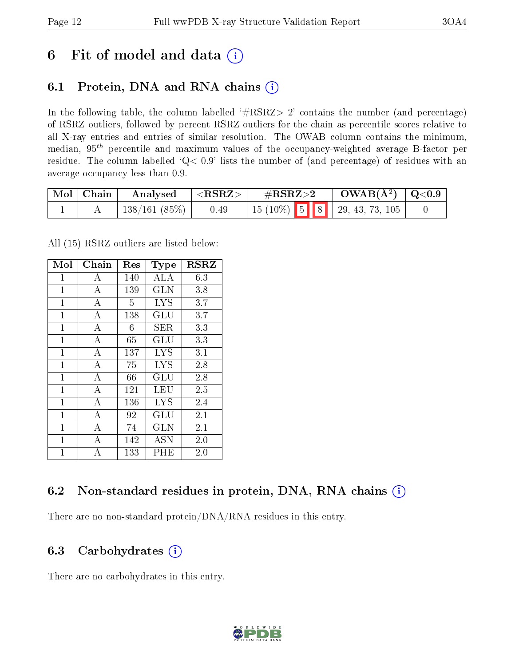## 6 Fit of model and data  $(i)$

## 6.1 Protein, DNA and RNA chains  $(i)$

In the following table, the column labelled  $#RSRZ> 2'$  contains the number (and percentage) of RSRZ outliers, followed by percent RSRZ outliers for the chain as percentile scores relative to all X-ray entries and entries of similar resolution. The OWAB column contains the minimum, median,  $95<sup>th</sup>$  percentile and maximum values of the occupancy-weighted average B-factor per residue. The column labelled ' $Q< 0.9$ ' lists the number of (and percentage) of residues with an average occupancy less than 0.9.

| Mol   Chain | Analysed             | $^\circ$ <rsrz></rsrz> | $\#\text{RSRZ}\text{>2}$ |  | $\rm OWAB(\AA^2)$   Q<0.9 |                                        |  |
|-------------|----------------------|------------------------|--------------------------|--|---------------------------|----------------------------------------|--|
|             | $\pm 138/161~(85\%)$ | 0.49                   |                          |  |                           | $\vert$ 15 (10%) 5 8 9 29, 43, 73, 105 |  |

All (15) RSRZ outliers are listed below:

| Mol            | Chain          | Res | <b>Type</b> | <b>RSRZ</b> |
|----------------|----------------|-----|-------------|-------------|
| $\mathbf{1}$   | A              | 140 | ALA         | 6.3         |
| $\mathbf{1}$   | $\overline{A}$ | 139 | <b>GLN</b>  | 3.8         |
| 1              | А              | 5   | <b>LYS</b>  | 3.7         |
| $\mathbf{1}$   | A              | 138 | GLU         | 3.7         |
| $\overline{1}$ | $\overline{A}$ | 6   | SER         | 3.3         |
| $\mathbf{1}$   | А              | 65  | GLU         | 3.3         |
| $\mathbf{1}$   | А              | 137 | <b>LYS</b>  | 3.1         |
| $\mathbf{1}$   | А              | 75  | <b>LYS</b>  | 2.8         |
| $\overline{1}$ | $\overline{A}$ | 66  | GLU         | 2.8         |
| $\overline{1}$ | А              | 121 | LEU         | 2.5         |
| $\mathbf{1}$   | А              | 136 | <b>LYS</b>  | 2.4         |
| $\overline{1}$ | $\overline{A}$ | 92  | GLU         | 2.1         |
| $\mathbf{1}$   | А              | 74  | <b>GLN</b>  | 2.1         |
| $\mathbf{1}$   | А              | 142 | ASN         | 2.0         |
| $\overline{1}$ | A              | 133 | PHE         | 2.0         |

### 6.2 Non-standard residues in protein, DNA, RNA chains (i)

There are no non-standard protein/DNA/RNA residues in this entry.

### 6.3 Carbohydrates  $(i)$

There are no carbohydrates in this entry.